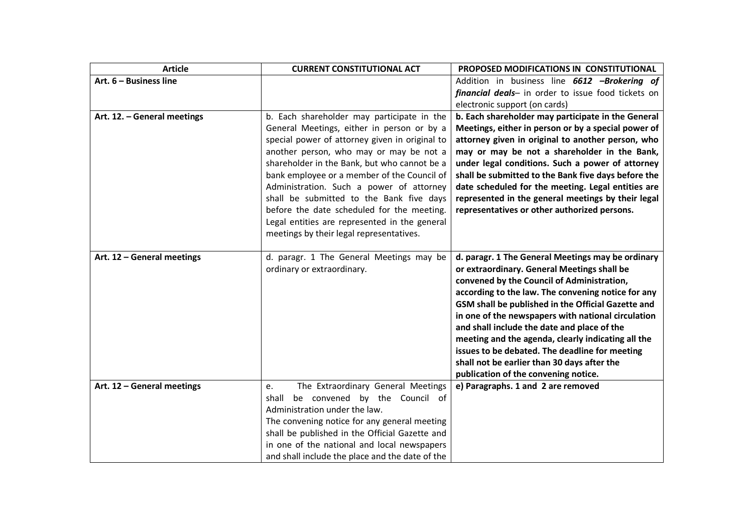| <b>Article</b>              | <b>CURRENT CONSTITUTIONAL ACT</b>                                                            | PROPOSED MODIFICATIONS IN CONSTITUTIONAL                                                                 |
|-----------------------------|----------------------------------------------------------------------------------------------|----------------------------------------------------------------------------------------------------------|
| Art. 6 - Business line      |                                                                                              | Addition in business line 6612 -Brokering of                                                             |
|                             |                                                                                              | financial deals- in order to issue food tickets on                                                       |
|                             |                                                                                              | electronic support (on cards)                                                                            |
| Art. 12. - General meetings | b. Each shareholder may participate in the                                                   | b. Each shareholder may participate in the General                                                       |
|                             | General Meetings, either in person or by a<br>special power of attorney given in original to | Meetings, either in person or by a special power of<br>attorney given in original to another person, who |
|                             | another person, who may or may be not a                                                      | may or may be not a shareholder in the Bank,                                                             |
|                             | shareholder in the Bank, but who cannot be a                                                 | under legal conditions. Such a power of attorney                                                         |
|                             | bank employee or a member of the Council of                                                  | shall be submitted to the Bank five days before the                                                      |
|                             | Administration. Such a power of attorney                                                     | date scheduled for the meeting. Legal entities are                                                       |
|                             | shall be submitted to the Bank five days                                                     | represented in the general meetings by their legal                                                       |
|                             | before the date scheduled for the meeting.                                                   | representatives or other authorized persons.                                                             |
|                             | Legal entities are represented in the general                                                |                                                                                                          |
|                             | meetings by their legal representatives.                                                     |                                                                                                          |
|                             |                                                                                              |                                                                                                          |
| Art. 12 - General meetings  | d. paragr. 1 The General Meetings may be                                                     | d. paragr. 1 The General Meetings may be ordinary                                                        |
|                             | ordinary or extraordinary.                                                                   | or extraordinary. General Meetings shall be                                                              |
|                             |                                                                                              | convened by the Council of Administration,                                                               |
|                             |                                                                                              | according to the law. The convening notice for any                                                       |
|                             |                                                                                              | GSM shall be published in the Official Gazette and                                                       |
|                             |                                                                                              | in one of the newspapers with national circulation<br>and shall include the date and place of the        |
|                             |                                                                                              | meeting and the agenda, clearly indicating all the                                                       |
|                             |                                                                                              | issues to be debated. The deadline for meeting                                                           |
|                             |                                                                                              | shall not be earlier than 30 days after the                                                              |
|                             |                                                                                              | publication of the convening notice.                                                                     |
| Art. 12 - General meetings  | The Extraordinary General Meetings<br>e.                                                     | e) Paragraphs. 1 and 2 are removed                                                                       |
|                             | be convened by the Council of<br>shall                                                       |                                                                                                          |
|                             | Administration under the law.                                                                |                                                                                                          |
|                             | The convening notice for any general meeting                                                 |                                                                                                          |
|                             | shall be published in the Official Gazette and                                               |                                                                                                          |
|                             | in one of the national and local newspapers                                                  |                                                                                                          |
|                             | and shall include the place and the date of the                                              |                                                                                                          |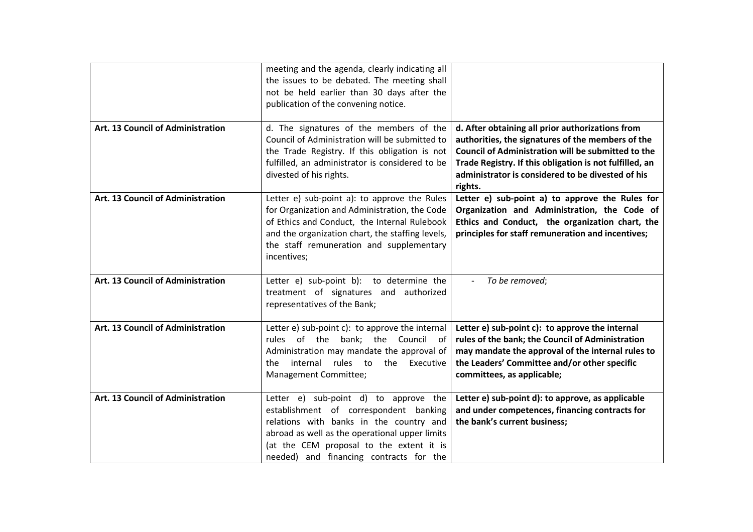|                                   | meeting and the agenda, clearly indicating all<br>the issues to be debated. The meeting shall<br>not be held earlier than 30 days after the<br>publication of the convening notice.                                                                                 |                                                                                                                                                                                                                                                                                        |
|-----------------------------------|---------------------------------------------------------------------------------------------------------------------------------------------------------------------------------------------------------------------------------------------------------------------|----------------------------------------------------------------------------------------------------------------------------------------------------------------------------------------------------------------------------------------------------------------------------------------|
| Art. 13 Council of Administration | d. The signatures of the members of the<br>Council of Administration will be submitted to<br>the Trade Registry. If this obligation is not<br>fulfilled, an administrator is considered to be<br>divested of his rights.                                            | d. After obtaining all prior authorizations from<br>authorities, the signatures of the members of the<br>Council of Administration will be submitted to the<br>Trade Registry. If this obligation is not fulfilled, an<br>administrator is considered to be divested of his<br>rights. |
| Art. 13 Council of Administration | Letter e) sub-point a): to approve the Rules<br>for Organization and Administration, the Code<br>of Ethics and Conduct, the Internal Rulebook<br>and the organization chart, the staffing levels,<br>the staff remuneration and supplementary<br>incentives;        | Letter e) sub-point a) to approve the Rules for<br>Organization and Administration, the Code of<br>Ethics and Conduct, the organization chart, the<br>principles for staff remuneration and incentives;                                                                                |
| Art. 13 Council of Administration | Letter e) sub-point b): to determine the<br>treatment of signatures and authorized<br>representatives of the Bank;                                                                                                                                                  | To be removed;                                                                                                                                                                                                                                                                         |
| Art. 13 Council of Administration | Letter $e$ ) sub-point $c$ ): to approve the internal<br>rules of the bank; the Council<br>of<br>Administration may mandate the approval of<br>internal<br>rules<br>to<br>the<br>Executive<br>the.<br>Management Committee;                                         | Letter e) sub-point c): to approve the internal<br>rules of the bank; the Council of Administration<br>may mandate the approval of the internal rules to<br>the Leaders' Committee and/or other specific<br>committees, as applicable;                                                 |
| Art. 13 Council of Administration | Letter e) sub-point d) to approve the<br>establishment of correspondent banking<br>relations with banks in the country and<br>abroad as well as the operational upper limits<br>(at the CEM proposal to the extent it is<br>needed) and financing contracts for the | Letter e) sub-point d): to approve, as applicable<br>and under competences, financing contracts for<br>the bank's current business;                                                                                                                                                    |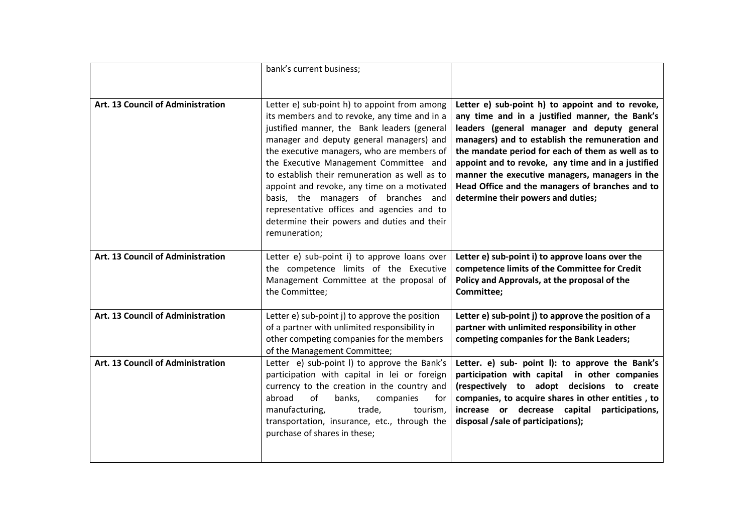|                                   | bank's current business;                                                                                                                                                                                                                                                                                                                                                                                                                                                                                                             |                                                                                                                                                                                                                                                                                                                                                                                                                                                            |
|-----------------------------------|--------------------------------------------------------------------------------------------------------------------------------------------------------------------------------------------------------------------------------------------------------------------------------------------------------------------------------------------------------------------------------------------------------------------------------------------------------------------------------------------------------------------------------------|------------------------------------------------------------------------------------------------------------------------------------------------------------------------------------------------------------------------------------------------------------------------------------------------------------------------------------------------------------------------------------------------------------------------------------------------------------|
| Art. 13 Council of Administration | Letter e) sub-point h) to appoint from among<br>its members and to revoke, any time and in a<br>justified manner, the Bank leaders (general<br>manager and deputy general managers) and<br>the executive managers, who are members of<br>the Executive Management Committee and<br>to establish their remuneration as well as to<br>appoint and revoke, any time on a motivated<br>basis, the managers of branches and<br>representative offices and agencies and to<br>determine their powers and duties and their<br>remuneration; | Letter e) sub-point h) to appoint and to revoke,<br>any time and in a justified manner, the Bank's<br>leaders (general manager and deputy general<br>managers) and to establish the remuneration and<br>the mandate period for each of them as well as to<br>appoint and to revoke, any time and in a justified<br>manner the executive managers, managers in the<br>Head Office and the managers of branches and to<br>determine their powers and duties; |
| Art. 13 Council of Administration | Letter e) sub-point i) to approve loans over<br>the competence limits of the Executive<br>Management Committee at the proposal of<br>the Committee;                                                                                                                                                                                                                                                                                                                                                                                  | Letter e) sub-point i) to approve loans over the<br>competence limits of the Committee for Credit<br>Policy and Approvals, at the proposal of the<br>Committee;                                                                                                                                                                                                                                                                                            |
| Art. 13 Council of Administration | Letter e) sub-point j) to approve the position<br>of a partner with unlimited responsibility in<br>other competing companies for the members<br>of the Management Committee;                                                                                                                                                                                                                                                                                                                                                         | Letter e) sub-point j) to approve the position of a<br>partner with unlimited responsibility in other<br>competing companies for the Bank Leaders;                                                                                                                                                                                                                                                                                                         |
| Art. 13 Council of Administration | Letter e) sub-point I) to approve the Bank's<br>participation with capital in lei or foreign<br>currency to the creation in the country and<br>abroad<br>of<br>banks,<br>companies<br>for<br>manufacturing,<br>trade,<br>tourism,<br>transportation, insurance, etc., through the<br>purchase of shares in these;                                                                                                                                                                                                                    | Letter. e) sub- point I): to approve the Bank's<br>participation with capital in other companies<br>(respectively to adopt decisions to create<br>companies, to acquire shares in other entities, to<br>increase or decrease capital participations,<br>disposal /sale of participations);                                                                                                                                                                 |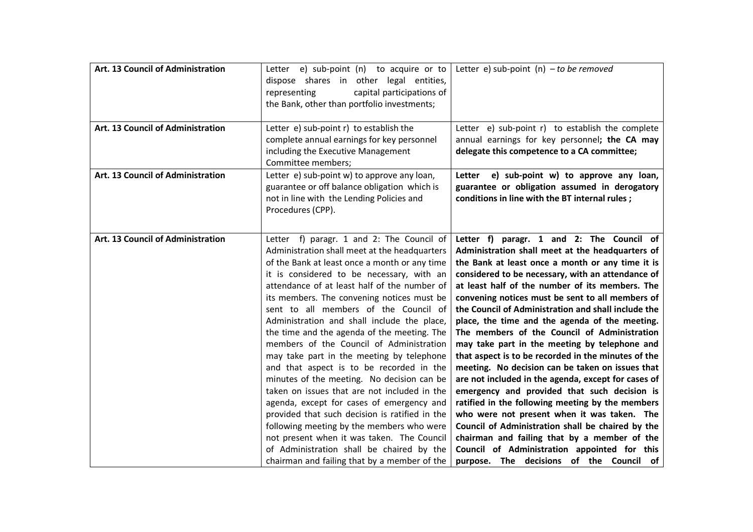| Art. 13 Council of Administration | Letter $e$ ) sub-point $(n)$ to acquire or to<br>dispose shares in other legal entities,<br>capital participations of<br>representing<br>the Bank, other than portfolio investments;                                                                                                                                                                                                                                                                                                                                                                                                                                                                                                                                                                                                                                                                                                                                                                    | Letter e) sub-point $(n)$ – to be removed                                                                                                                                                                                                                                                                                                                                                                                                                                                                                                                                                                                                                                                                                                                                                                                                                                                                                                                                                                                                     |
|-----------------------------------|---------------------------------------------------------------------------------------------------------------------------------------------------------------------------------------------------------------------------------------------------------------------------------------------------------------------------------------------------------------------------------------------------------------------------------------------------------------------------------------------------------------------------------------------------------------------------------------------------------------------------------------------------------------------------------------------------------------------------------------------------------------------------------------------------------------------------------------------------------------------------------------------------------------------------------------------------------|-----------------------------------------------------------------------------------------------------------------------------------------------------------------------------------------------------------------------------------------------------------------------------------------------------------------------------------------------------------------------------------------------------------------------------------------------------------------------------------------------------------------------------------------------------------------------------------------------------------------------------------------------------------------------------------------------------------------------------------------------------------------------------------------------------------------------------------------------------------------------------------------------------------------------------------------------------------------------------------------------------------------------------------------------|
| Art. 13 Council of Administration | Letter $e$ ) sub-point $r$ ) to establish the<br>complete annual earnings for key personnel<br>including the Executive Management<br>Committee members;                                                                                                                                                                                                                                                                                                                                                                                                                                                                                                                                                                                                                                                                                                                                                                                                 | Letter e) sub-point r) to establish the complete<br>annual earnings for key personnel; the CA may<br>delegate this competence to a CA committee;                                                                                                                                                                                                                                                                                                                                                                                                                                                                                                                                                                                                                                                                                                                                                                                                                                                                                              |
| Art. 13 Council of Administration | Letter e) sub-point w) to approve any loan,<br>guarantee or off balance obligation which is<br>not in line with the Lending Policies and<br>Procedures (CPP).                                                                                                                                                                                                                                                                                                                                                                                                                                                                                                                                                                                                                                                                                                                                                                                           | e) sub-point w) to approve any loan,<br>Letter<br>guarantee or obligation assumed in derogatory<br>conditions in line with the BT internal rules;                                                                                                                                                                                                                                                                                                                                                                                                                                                                                                                                                                                                                                                                                                                                                                                                                                                                                             |
| Art. 13 Council of Administration | Letter f) paragr. 1 and 2: The Council of<br>Administration shall meet at the headquarters<br>of the Bank at least once a month or any time<br>it is considered to be necessary, with an<br>attendance of at least half of the number of<br>its members. The convening notices must be<br>sent to all members of the Council of<br>Administration and shall include the place,<br>the time and the agenda of the meeting. The<br>members of the Council of Administration<br>may take part in the meeting by telephone<br>and that aspect is to be recorded in the<br>minutes of the meeting. No decision can be<br>taken on issues that are not included in the<br>agenda, except for cases of emergency and<br>provided that such decision is ratified in the<br>following meeting by the members who were<br>not present when it was taken. The Council<br>of Administration shall be chaired by the<br>chairman and failing that by a member of the | Letter f) paragr. 1 and 2: The Council of<br>Administration shall meet at the headquarters of<br>the Bank at least once a month or any time it is<br>considered to be necessary, with an attendance of<br>at least half of the number of its members. The<br>convening notices must be sent to all members of<br>the Council of Administration and shall include the<br>place, the time and the agenda of the meeting.<br>The members of the Council of Administration<br>may take part in the meeting by telephone and<br>that aspect is to be recorded in the minutes of the<br>meeting. No decision can be taken on issues that<br>are not included in the agenda, except for cases of<br>emergency and provided that such decision is<br>ratified in the following meeting by the members<br>who were not present when it was taken. The<br>Council of Administration shall be chaired by the<br>chairman and failing that by a member of the<br>Council of Administration appointed for this<br>purpose. The decisions of the Council of |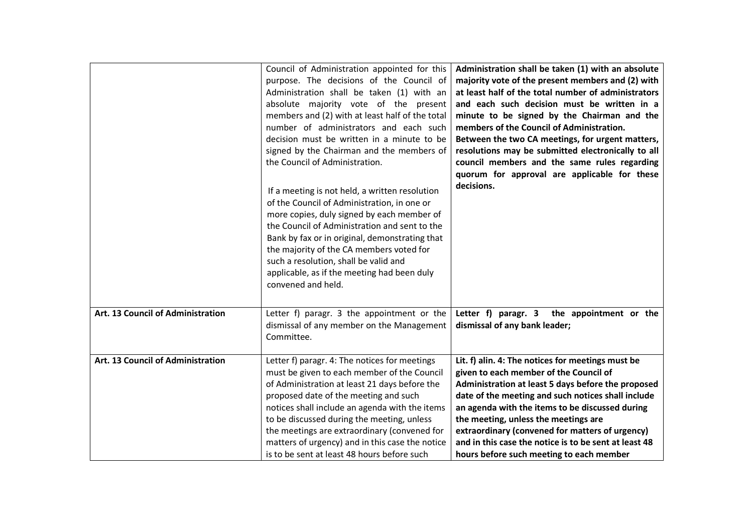|                                   | Council of Administration appointed for this<br>purpose. The decisions of the Council of<br>Administration shall be taken (1) with an<br>absolute majority vote of the present<br>members and (2) with at least half of the total<br>number of administrators and each such<br>decision must be written in a minute to be<br>signed by the Chairman and the members of<br>the Council of Administration.<br>If a meeting is not held, a written resolution<br>of the Council of Administration, in one or<br>more copies, duly signed by each member of<br>the Council of Administration and sent to the<br>Bank by fax or in original, demonstrating that<br>the majority of the CA members voted for<br>such a resolution, shall be valid and<br>applicable, as if the meeting had been duly<br>convened and held. | Administration shall be taken (1) with an absolute<br>majority vote of the present members and (2) with<br>at least half of the total number of administrators<br>and each such decision must be written in a<br>minute to be signed by the Chairman and the<br>members of the Council of Administration.<br>Between the two CA meetings, for urgent matters,<br>resolutions may be submitted electronically to all<br>council members and the same rules regarding<br>quorum for approval are applicable for these<br>decisions. |
|-----------------------------------|----------------------------------------------------------------------------------------------------------------------------------------------------------------------------------------------------------------------------------------------------------------------------------------------------------------------------------------------------------------------------------------------------------------------------------------------------------------------------------------------------------------------------------------------------------------------------------------------------------------------------------------------------------------------------------------------------------------------------------------------------------------------------------------------------------------------|-----------------------------------------------------------------------------------------------------------------------------------------------------------------------------------------------------------------------------------------------------------------------------------------------------------------------------------------------------------------------------------------------------------------------------------------------------------------------------------------------------------------------------------|
| Art. 13 Council of Administration | Letter f) paragr. 3 the appointment or the<br>dismissal of any member on the Management<br>Committee.                                                                                                                                                                                                                                                                                                                                                                                                                                                                                                                                                                                                                                                                                                                | Letter f) paragr. 3<br>the appointment or the<br>dismissal of any bank leader;                                                                                                                                                                                                                                                                                                                                                                                                                                                    |
| Art. 13 Council of Administration | Letter f) paragr. 4: The notices for meetings<br>must be given to each member of the Council<br>of Administration at least 21 days before the<br>proposed date of the meeting and such<br>notices shall include an agenda with the items<br>to be discussed during the meeting, unless<br>the meetings are extraordinary (convened for<br>matters of urgency) and in this case the notice<br>is to be sent at least 48 hours before such                                                                                                                                                                                                                                                                                                                                                                             | Lit. f) alin. 4: The notices for meetings must be<br>given to each member of the Council of<br>Administration at least 5 days before the proposed<br>date of the meeting and such notices shall include<br>an agenda with the items to be discussed during<br>the meeting, unless the meetings are<br>extraordinary (convened for matters of urgency)<br>and in this case the notice is to be sent at least 48<br>hours before such meeting to each member                                                                        |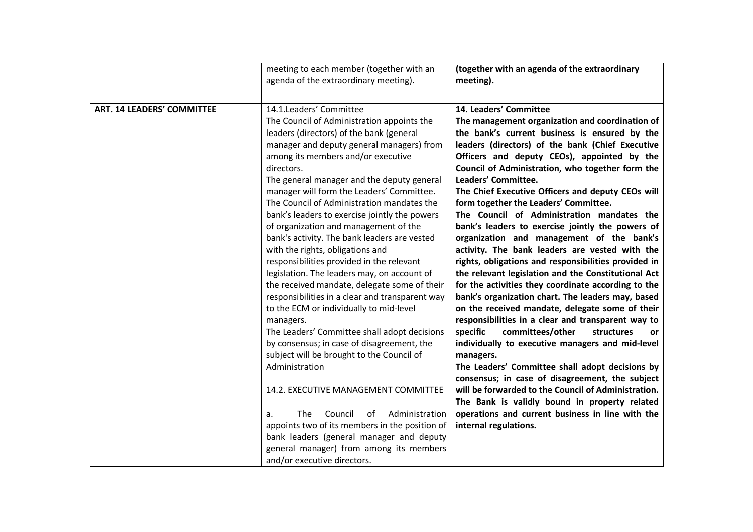|                                   | meeting to each member (together with an<br>agenda of the extraordinary meeting).                                                                                                                                                                                                                                                                                                                                                                                                                                                                                                                                                                                                                                                                                                                                                                                                                                                                                                                                                                                                                       | (together with an agenda of the extraordinary<br>meeting).                                                                                                                                                                                                                                                                                                                                                                                                                                                                                                                                                                                                                                                                                                                                                                                                                                                                                                                                                                                                                                                                                                                                                                                                                                                                                                  |
|-----------------------------------|---------------------------------------------------------------------------------------------------------------------------------------------------------------------------------------------------------------------------------------------------------------------------------------------------------------------------------------------------------------------------------------------------------------------------------------------------------------------------------------------------------------------------------------------------------------------------------------------------------------------------------------------------------------------------------------------------------------------------------------------------------------------------------------------------------------------------------------------------------------------------------------------------------------------------------------------------------------------------------------------------------------------------------------------------------------------------------------------------------|-------------------------------------------------------------------------------------------------------------------------------------------------------------------------------------------------------------------------------------------------------------------------------------------------------------------------------------------------------------------------------------------------------------------------------------------------------------------------------------------------------------------------------------------------------------------------------------------------------------------------------------------------------------------------------------------------------------------------------------------------------------------------------------------------------------------------------------------------------------------------------------------------------------------------------------------------------------------------------------------------------------------------------------------------------------------------------------------------------------------------------------------------------------------------------------------------------------------------------------------------------------------------------------------------------------------------------------------------------------|
| <b>ART. 14 LEADERS' COMMITTEE</b> | 14.1.Leaders' Committee<br>The Council of Administration appoints the<br>leaders (directors) of the bank (general<br>manager and deputy general managers) from<br>among its members and/or executive<br>directors.<br>The general manager and the deputy general<br>manager will form the Leaders' Committee.<br>The Council of Administration mandates the<br>bank's leaders to exercise jointly the powers<br>of organization and management of the<br>bank's activity. The bank leaders are vested<br>with the rights, obligations and<br>responsibilities provided in the relevant<br>legislation. The leaders may, on account of<br>the received mandate, delegate some of their<br>responsibilities in a clear and transparent way<br>to the ECM or individually to mid-level<br>managers.<br>The Leaders' Committee shall adopt decisions<br>by consensus; in case of disagreement, the<br>subject will be brought to the Council of<br>Administration<br>14.2. EXECUTIVE MANAGEMENT COMMITTEE<br>The<br>Council<br>Administration<br>of<br>a.<br>appoints two of its members in the position of | 14. Leaders' Committee<br>The management organization and coordination of<br>the bank's current business is ensured by the<br>leaders (directors) of the bank (Chief Executive<br>Officers and deputy CEOs), appointed by the<br>Council of Administration, who together form the<br>Leaders' Committee.<br>The Chief Executive Officers and deputy CEOs will<br>form together the Leaders' Committee.<br>The Council of Administration mandates the<br>bank's leaders to exercise jointly the powers of<br>organization and management of the bank's<br>activity. The bank leaders are vested with the<br>rights, obligations and responsibilities provided in<br>the relevant legislation and the Constitutional Act<br>for the activities they coordinate according to the<br>bank's organization chart. The leaders may, based<br>on the received mandate, delegate some of their<br>responsibilities in a clear and transparent way to<br>specific<br>committees/other<br>structures<br>or<br>individually to executive managers and mid-level<br>managers.<br>The Leaders' Committee shall adopt decisions by<br>consensus; in case of disagreement, the subject<br>will be forwarded to the Council of Administration.<br>The Bank is validly bound in property related<br>operations and current business in line with the<br>internal regulations. |
|                                   | bank leaders (general manager and deputy<br>general manager) from among its members<br>and/or executive directors.                                                                                                                                                                                                                                                                                                                                                                                                                                                                                                                                                                                                                                                                                                                                                                                                                                                                                                                                                                                      |                                                                                                                                                                                                                                                                                                                                                                                                                                                                                                                                                                                                                                                                                                                                                                                                                                                                                                                                                                                                                                                                                                                                                                                                                                                                                                                                                             |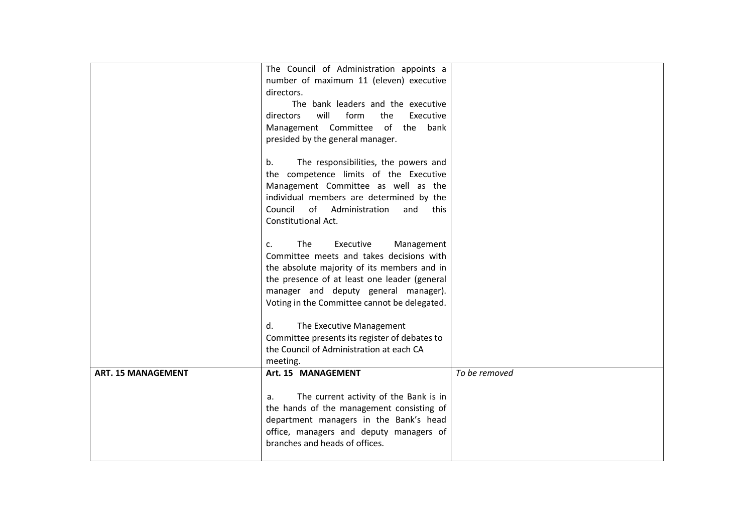|                           | The Council of Administration appoints a      |               |
|---------------------------|-----------------------------------------------|---------------|
|                           | number of maximum 11 (eleven) executive       |               |
|                           | directors.                                    |               |
|                           | The bank leaders and the executive            |               |
|                           | will<br>form<br>the<br>Executive<br>directors |               |
|                           | Management Committee of the<br>bank           |               |
|                           | presided by the general manager.              |               |
|                           |                                               |               |
|                           | The responsibilities, the powers and<br>b.    |               |
|                           | the competence limits of the Executive        |               |
|                           | Management Committee as well as the           |               |
|                           | individual members are determined by the      |               |
|                           | Council<br>of Administration<br>and<br>this   |               |
|                           | Constitutional Act.                           |               |
|                           |                                               |               |
|                           | The<br>Executive<br>Management<br>c.          |               |
|                           | Committee meets and takes decisions with      |               |
|                           | the absolute majority of its members and in   |               |
|                           | the presence of at least one leader (general  |               |
|                           | manager and deputy general manager).          |               |
|                           | Voting in the Committee cannot be delegated.  |               |
|                           |                                               |               |
|                           |                                               |               |
|                           | The Executive Management<br>d.                |               |
|                           | Committee presents its register of debates to |               |
|                           | the Council of Administration at each CA      |               |
|                           | meeting.                                      |               |
| <b>ART. 15 MANAGEMENT</b> | Art. 15 MANAGEMENT                            | To be removed |
|                           |                                               |               |
|                           | The current activity of the Bank is in<br>а.  |               |
|                           | the hands of the management consisting of     |               |
|                           | department managers in the Bank's head        |               |
|                           | office, managers and deputy managers of       |               |
|                           | branches and heads of offices.                |               |
|                           |                                               |               |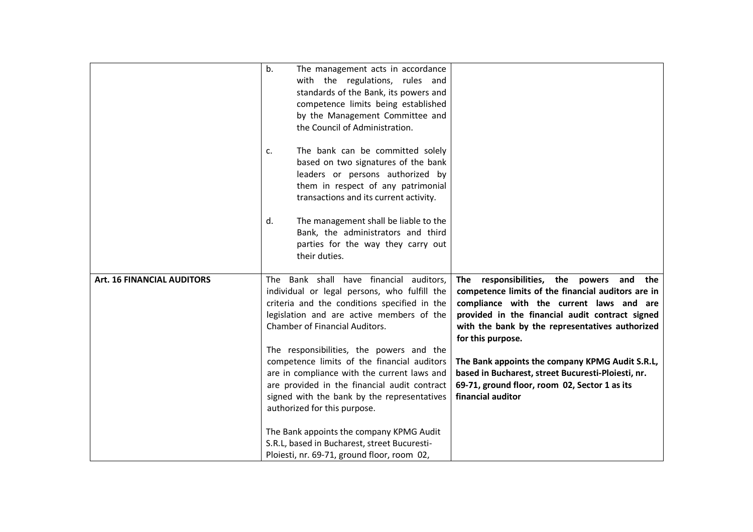|                                   | b.<br>The management acts in accordance<br>with the regulations, rules and<br>standards of the Bank, its powers and<br>competence limits being established<br>by the Management Committee and<br>the Council of Administration.<br>The bank can be committed solely<br>c.<br>based on two signatures of the bank<br>leaders or persons authorized by<br>them in respect of any patrimonial<br>transactions and its current activity.<br>The management shall be liable to the<br>d.<br>Bank, the administrators and third<br>parties for the way they carry out<br>their duties.                                                           |                                                                                                                                                                                                                                                                                                                                                                                                                                                      |
|-----------------------------------|--------------------------------------------------------------------------------------------------------------------------------------------------------------------------------------------------------------------------------------------------------------------------------------------------------------------------------------------------------------------------------------------------------------------------------------------------------------------------------------------------------------------------------------------------------------------------------------------------------------------------------------------|------------------------------------------------------------------------------------------------------------------------------------------------------------------------------------------------------------------------------------------------------------------------------------------------------------------------------------------------------------------------------------------------------------------------------------------------------|
| <b>Art. 16 FINANCIAL AUDITORS</b> | The Bank shall have financial auditors,<br>individual or legal persons, who fulfill the<br>criteria and the conditions specified in the<br>legislation and are active members of the<br>Chamber of Financial Auditors.<br>The responsibilities, the powers and the<br>competence limits of the financial auditors<br>are in compliance with the current laws and<br>are provided in the financial audit contract<br>signed with the bank by the representatives<br>authorized for this purpose.<br>The Bank appoints the company KPMG Audit<br>S.R.L, based in Bucharest, street Bucuresti-<br>Ploiesti, nr. 69-71, ground floor, room 02, | The responsibilities, the powers and the<br>competence limits of the financial auditors are in<br>compliance with the current laws and are<br>provided in the financial audit contract signed<br>with the bank by the representatives authorized<br>for this purpose.<br>The Bank appoints the company KPMG Audit S.R.L,<br>based in Bucharest, street Bucuresti-Ploiesti, nr.<br>69-71, ground floor, room 02, Sector 1 as its<br>financial auditor |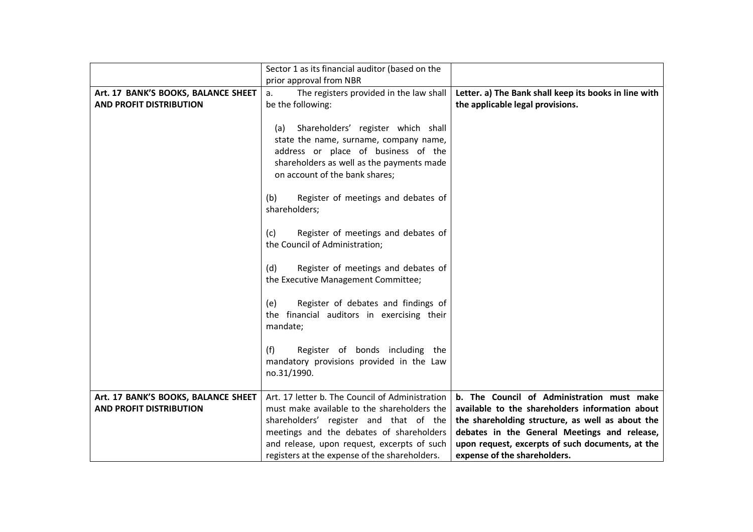|                                     | Sector 1 as its financial auditor (based on the |                                                       |
|-------------------------------------|-------------------------------------------------|-------------------------------------------------------|
|                                     | prior approval from NBR                         |                                                       |
| Art. 17 BANK'S BOOKS, BALANCE SHEET | The registers provided in the law shall<br>а.   | Letter. a) The Bank shall keep its books in line with |
| <b>AND PROFIT DISTRIBUTION</b>      | be the following:                               | the applicable legal provisions.                      |
|                                     |                                                 |                                                       |
|                                     | Shareholders' register which shall<br>(a)       |                                                       |
|                                     | state the name, surname, company name,          |                                                       |
|                                     | address or place of business of the             |                                                       |
|                                     |                                                 |                                                       |
|                                     | shareholders as well as the payments made       |                                                       |
|                                     | on account of the bank shares;                  |                                                       |
|                                     |                                                 |                                                       |
|                                     | Register of meetings and debates of<br>(b)      |                                                       |
|                                     | shareholders;                                   |                                                       |
|                                     |                                                 |                                                       |
|                                     | Register of meetings and debates of<br>(c)      |                                                       |
|                                     | the Council of Administration;                  |                                                       |
|                                     |                                                 |                                                       |
|                                     | Register of meetings and debates of<br>(d)      |                                                       |
|                                     | the Executive Management Committee;             |                                                       |
|                                     |                                                 |                                                       |
|                                     | Register of debates and findings of<br>(e)      |                                                       |
|                                     | the financial auditors in exercising their      |                                                       |
|                                     |                                                 |                                                       |
|                                     | mandate;                                        |                                                       |
|                                     |                                                 |                                                       |
|                                     | Register of bonds including the<br>(f)          |                                                       |
|                                     | mandatory provisions provided in the Law        |                                                       |
|                                     | no.31/1990.                                     |                                                       |
|                                     |                                                 |                                                       |
| Art. 17 BANK'S BOOKS, BALANCE SHEET | Art. 17 letter b. The Council of Administration | b. The Council of Administration must make            |
| <b>AND PROFIT DISTRIBUTION</b>      | must make available to the shareholders the     | available to the shareholders information about       |
|                                     | shareholders' register and that of the          | the shareholding structure, as well as about the      |
|                                     | meetings and the debates of shareholders        | debates in the General Meetings and release,          |
|                                     | and release, upon request, excerpts of such     | upon request, excerpts of such documents, at the      |
|                                     | registers at the expense of the shareholders.   | expense of the shareholders.                          |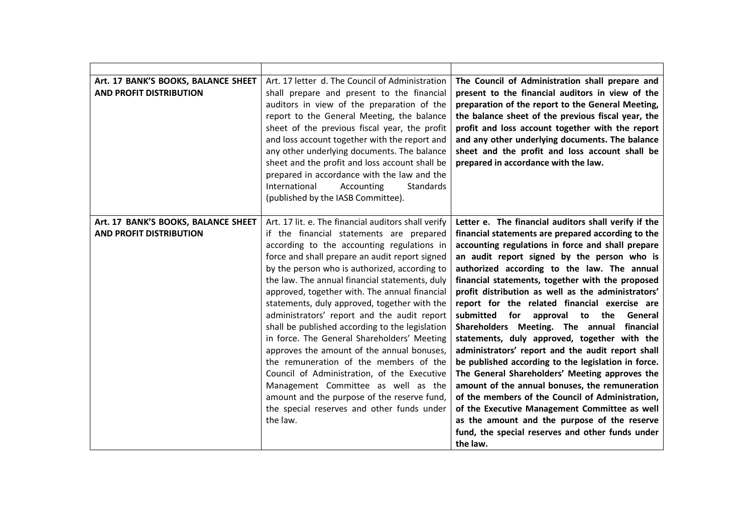| Art. 17 BANK'S BOOKS, BALANCE SHEET<br><b>AND PROFIT DISTRIBUTION</b> | Art. 17 letter d. The Council of Administration<br>shall prepare and present to the financial<br>auditors in view of the preparation of the<br>report to the General Meeting, the balance<br>sheet of the previous fiscal year, the profit<br>and loss account together with the report and<br>any other underlying documents. The balance<br>sheet and the profit and loss account shall be<br>prepared in accordance with the law and the<br>International<br>Accounting<br>Standards<br>(published by the IASB Committee).                                                                                                                                                                                                                                                                                                               | The Council of Administration shall prepare and<br>present to the financial auditors in view of the<br>preparation of the report to the General Meeting,<br>the balance sheet of the previous fiscal year, the<br>profit and loss account together with the report<br>and any other underlying documents. The balance<br>sheet and the profit and loss account shall be<br>prepared in accordance with the law.                                                                                                                                                                                                                                                                                                                                                                                                                                                                                                                                                                                                  |
|-----------------------------------------------------------------------|---------------------------------------------------------------------------------------------------------------------------------------------------------------------------------------------------------------------------------------------------------------------------------------------------------------------------------------------------------------------------------------------------------------------------------------------------------------------------------------------------------------------------------------------------------------------------------------------------------------------------------------------------------------------------------------------------------------------------------------------------------------------------------------------------------------------------------------------|------------------------------------------------------------------------------------------------------------------------------------------------------------------------------------------------------------------------------------------------------------------------------------------------------------------------------------------------------------------------------------------------------------------------------------------------------------------------------------------------------------------------------------------------------------------------------------------------------------------------------------------------------------------------------------------------------------------------------------------------------------------------------------------------------------------------------------------------------------------------------------------------------------------------------------------------------------------------------------------------------------------|
| Art. 17 BANK'S BOOKS, BALANCE SHEET<br><b>AND PROFIT DISTRIBUTION</b> | Art. 17 lit. e. The financial auditors shall verify<br>if the financial statements are prepared<br>according to the accounting regulations in<br>force and shall prepare an audit report signed<br>by the person who is authorized, according to<br>the law. The annual financial statements, duly<br>approved, together with. The annual financial<br>statements, duly approved, together with the<br>administrators' report and the audit report<br>shall be published according to the legislation<br>in force. The General Shareholders' Meeting<br>approves the amount of the annual bonuses,<br>the remuneration of the members of the<br>Council of Administration, of the Executive<br>Management Committee as well as the<br>amount and the purpose of the reserve fund,<br>the special reserves and other funds under<br>the law. | Letter e. The financial auditors shall verify if the<br>financial statements are prepared according to the<br>accounting regulations in force and shall prepare<br>an audit report signed by the person who is<br>authorized according to the law. The annual<br>financial statements, together with the proposed<br>profit distribution as well as the administrators'<br>report for the related financial exercise are<br>submitted<br>for<br>approval to the<br>General<br>Shareholders Meeting. The annual<br>financial<br>statements, duly approved, together with the<br>administrators' report and the audit report shall<br>be published according to the legislation in force.<br>The General Shareholders' Meeting approves the<br>amount of the annual bonuses, the remuneration<br>of the members of the Council of Administration,<br>of the Executive Management Committee as well<br>as the amount and the purpose of the reserve<br>fund, the special reserves and other funds under<br>the law. |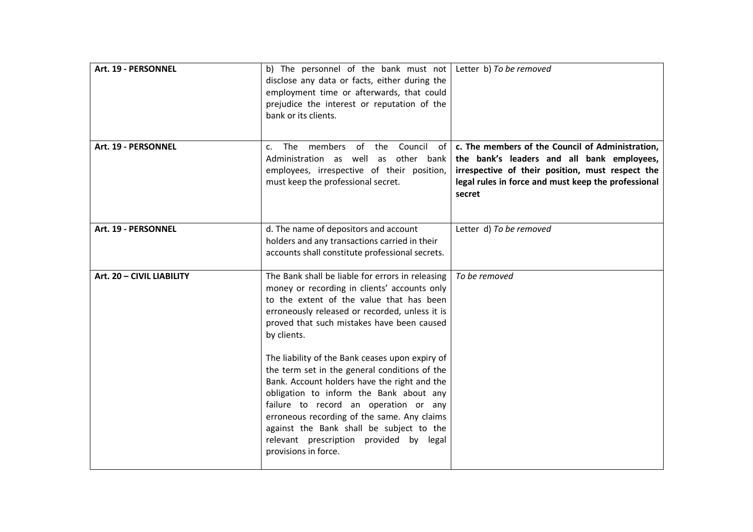| Art. 19 - PERSONNEL       | b) The personnel of the bank must not<br>disclose any data or facts, either during the<br>employment time or afterwards, that could<br>prejudice the interest or reputation of the<br>bank or its clients.                                                                                                                                                                                                                                                                                                                                                                                                                                                        | Letter b) To be removed                                                                                                                                                                                             |
|---------------------------|-------------------------------------------------------------------------------------------------------------------------------------------------------------------------------------------------------------------------------------------------------------------------------------------------------------------------------------------------------------------------------------------------------------------------------------------------------------------------------------------------------------------------------------------------------------------------------------------------------------------------------------------------------------------|---------------------------------------------------------------------------------------------------------------------------------------------------------------------------------------------------------------------|
| Art. 19 - PERSONNEL       | members<br>of the<br>Council<br>The<br>of l<br>$\mathsf{C}$ .<br>Administration as well as other bank<br>employees, irrespective of their position,<br>must keep the professional secret.                                                                                                                                                                                                                                                                                                                                                                                                                                                                         | c. The members of the Council of Administration,<br>the bank's leaders and all bank employees,<br>irrespective of their position, must respect the<br>legal rules in force and must keep the professional<br>secret |
| Art. 19 - PERSONNEL       | d. The name of depositors and account<br>holders and any transactions carried in their<br>accounts shall constitute professional secrets.                                                                                                                                                                                                                                                                                                                                                                                                                                                                                                                         | Letter d) To be removed                                                                                                                                                                                             |
| Art. 20 - CIVIL LIABILITY | The Bank shall be liable for errors in releasing<br>money or recording in clients' accounts only<br>to the extent of the value that has been<br>erroneously released or recorded, unless it is<br>proved that such mistakes have been caused<br>by clients.<br>The liability of the Bank ceases upon expiry of<br>the term set in the general conditions of the<br>Bank. Account holders have the right and the<br>obligation to inform the Bank about any<br>failure to record an operation or any<br>erroneous recording of the same. Any claims<br>against the Bank shall be subject to the<br>relevant prescription provided by legal<br>provisions in force. | To be removed                                                                                                                                                                                                       |